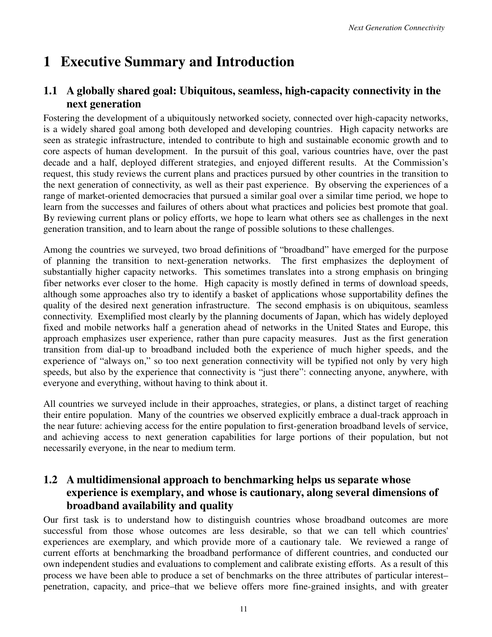# **1 Executive Summary and Introduction**

## **1.1 A globally shared goal: Ubiquitous, seamless, high-capacity connectivity in the next generation**

Fostering the development of a ubiquitously networked society, connected over high-capacity networks, is a widely shared goal among both developed and developing countries. High capacity networks are seen as strategic infrastructure, intended to contribute to high and sustainable economic growth and to core aspects of human development. In the pursuit of this goal, various countries have, over the past decade and a half, deployed different strategies, and enjoyed different results. At the Commission's request, this study reviews the current plans and practices pursued by other countries in the transition to the next generation of connectivity, as well as their past experience. By observing the experiences of a range of market-oriented democracies that pursued a similar goal over a similar time period, we hope to learn from the successes and failures of others about what practices and policies best promote that goal. By reviewing current plans or policy efforts, we hope to learn what others see as challenges in the next generation transition, and to learn about the range of possible solutions to these challenges.

Among the countries we surveyed, two broad definitions of "broadband" have emerged for the purpose of planning the transition to next-generation networks. The first emphasizes the deployment of substantially higher capacity networks. This sometimes translates into a strong emphasis on bringing fiber networks ever closer to the home. High capacity is mostly defined in terms of download speeds, although some approaches also try to identify a basket of applications whose supportability defines the quality of the desired next generation infrastructure. The second emphasis is on ubiquitous, seamless connectivity. Exemplified most clearly by the planning documents of Japan, which has widely deployed fixed and mobile networks half a generation ahead of networks in the United States and Europe, this approach emphasizes user experience, rather than pure capacity measures. Just as the first generation transition from dial-up to broadband included both the experience of much higher speeds, and the experience of "always on," so too next generation connectivity will be typified not only by very high speeds, but also by the experience that connectivity is "just there": connecting anyone, anywhere, with everyone and everything, without having to think about it.

All countries we surveyed include in their approaches, strategies, or plans, a distinct target of reaching their entire population. Many of the countries we observed explicitly embrace a dual-track approach in the near future: achieving access for the entire population to first-generation broadband levels of service, and achieving access to next generation capabilities for large portions of their population, but not necessarily everyone, in the near to medium term.

## **1.2 A multidimensional approach to benchmarking helps us separate whose experience is exemplary, and whose is cautionary, along several dimensions of broadband availability and quality**

Our first task is to understand how to distinguish countries whose broadband outcomes are more successful from those whose outcomes are less desirable, so that we can tell which countries' experiences are exemplary, and which provide more of a cautionary tale. We reviewed a range of current efforts at benchmarking the broadband performance of different countries, and conducted our own independent studies and evaluations to complement and calibrate existing efforts. As a result of this process we have been able to produce a set of benchmarks on the three attributes of particular interest– penetration, capacity, and price–that we believe offers more fine-grained insights, and with greater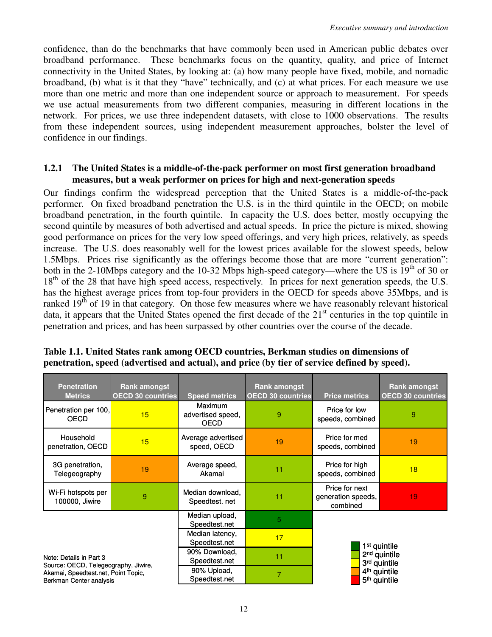confidence, than do the benchmarks that have commonly been used in American public debates over broadband performance. These benchmarks focus on the quantity, quality, and price of Internet connectivity in the United States, by looking at: (a) how many people have fixed, mobile, and nomadic broadband, (b) what is it that they "have" technically, and (c) at what prices. For each measure we use more than one metric and more than one independent source or approach to measurement. For speeds we use actual measurements from two different companies, measuring in different locations in the network. For prices, we use three independent datasets, with close to 1000 observations. The results from these independent sources, using independent measurement approaches, bolster the level of confidence in our findings.

#### **1.2.1 The United States is a middle-of-the-pack performer on most first generation broadband measures, but a weak performer on prices for high and next-generation speeds**

Our findings confirm the widespread perception that the United States is a middle-of-the-pack performer. On fixed broadband penetration the U.S. is in the third quintile in the OECD; on mobile broadband penetration, in the fourth quintile. In capacity the U.S. does better, mostly occupying the second quintile by measures of both advertised and actual speeds. In price the picture is mixed, showing good performance on prices for the very low speed offerings, and very high prices, relatively, as speeds increase. The U.S. does reasonably well for the lowest prices available for the slowest speeds, below 1.5Mbps. Prices rise significantly as the offerings become those that are more "current generation": both in the 2-10Mbps category and the 10-32 Mbps high-speed category—where the US is  $19<sup>th</sup>$  of 30 or 18<sup>th</sup> of the 28 that have high speed access, respectively. In prices for next generation speeds, the U.S. has the highest average prices from top-four providers in the OECD for speeds above 35Mbps, and is ranked  $19<sup>th</sup>$  of 19 in that category. On those few measures where we have reasonably relevant historical data, it appears that the United States opened the first decade of the 21<sup>st</sup> centuries in the top quintile in penetration and prices, and has been surpassed by other countries over the course of the decade.

| <b>Penetration</b><br><b>Metrics</b>                                                                                              | Rank amongst<br><b>OECD 30 countries</b> | <b>Speed metrics</b>                               | <b>Rank amongst</b><br><b>OECD 30 countries</b> | <b>Price metrics</b>                                                                                                         | <b>Rank amongst</b><br><b>OECD 30 countries</b> |
|-----------------------------------------------------------------------------------------------------------------------------------|------------------------------------------|----------------------------------------------------|-------------------------------------------------|------------------------------------------------------------------------------------------------------------------------------|-------------------------------------------------|
| Penetration per 100,<br><b>OECD</b>                                                                                               | 15                                       | <b>Maximum</b><br>advertised speed,<br><b>OECD</b> | 9                                               | Price for low<br>speeds, combined                                                                                            | 9                                               |
| Household<br>penetration, OECD                                                                                                    | 15                                       | Average advertised<br>speed, OECD                  | 19                                              | Price for med<br>speeds, combined                                                                                            | 19                                              |
| 3G penetration,<br>Telegeography                                                                                                  | 19                                       | Average speed,<br>Akamai                           | 11                                              | Price for high<br>speeds, combined                                                                                           | 18                                              |
| Wi-Fi hotspots per<br>100000, Jiwire                                                                                              | 9                                        | Median download,<br>Speedtest. net                 | 11                                              | Price for next<br>generation speeds,<br>combined                                                                             | 19                                              |
| Note: Details in Part 3<br>Source: OECD, Telegeography, Jiwire,<br>Akamai, Speedtest.net, Point Topic,<br>Berkman Center analysis |                                          | Median upload,<br>Speedtest.net                    | 5                                               | 1 <sup>st</sup> quintile<br>2 <sup>nd</sup> quintile<br>3rd quintile<br>4 <sup>th</sup> quintile<br>5 <sup>th</sup> quintile |                                                 |
|                                                                                                                                   |                                          | Median latency,<br>Speedtest.net                   | 17                                              |                                                                                                                              |                                                 |
|                                                                                                                                   |                                          | 90% Download,<br>Speedtest.net                     | 11                                              |                                                                                                                              |                                                 |
|                                                                                                                                   |                                          | 90% Upload,<br>Speedtest.net                       | $\overline{7}$                                  |                                                                                                                              |                                                 |

**Table 1.1. United States rank among OECD countries, Berkman studies on dimensions of penetration, speed (advertised and actual), and price (by tier of service defined by speed).**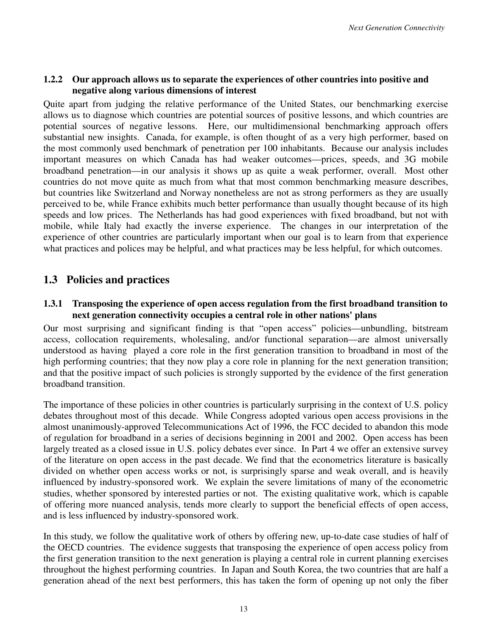#### **1.2.2 Our approach allows us to separate the experiences of other countries into positive and negative along various dimensions of interest**

Quite apart from judging the relative performance of the United States, our benchmarking exercise allows us to diagnose which countries are potential sources of positive lessons, and which countries are potential sources of negative lessons. Here, our multidimensional benchmarking approach offers substantial new insights. Canada, for example, is often thought of as a very high performer, based on the most commonly used benchmark of penetration per 100 inhabitants. Because our analysis includes important measures on which Canada has had weaker outcomes—prices, speeds, and 3G mobile broadband penetration—in our analysis it shows up as quite a weak performer, overall. Most other countries do not move quite as much from what that most common benchmarking measure describes, but countries like Switzerland and Norway nonetheless are not as strong performers as they are usually perceived to be, while France exhibits much better performance than usually thought because of its high speeds and low prices. The Netherlands has had good experiences with fixed broadband, but not with mobile, while Italy had exactly the inverse experience. The changes in our interpretation of the experience of other countries are particularly important when our goal is to learn from that experience what practices and polices may be helpful, and what practices may be less helpful, for which outcomes.

## **1.3 Policies and practices**

#### **1.3.1 Transposing the experience of open access regulation from the first broadband transition to next generation connectivity occupies a central role in other nations' plans**

Our most surprising and significant finding is that "open access" policies—unbundling, bitstream access, collocation requirements, wholesaling, and/or functional separation—are almost universally understood as having played a core role in the first generation transition to broadband in most of the high performing countries; that they now play a core role in planning for the next generation transition; and that the positive impact of such policies is strongly supported by the evidence of the first generation broadband transition.

The importance of these policies in other countries is particularly surprising in the context of U.S. policy debates throughout most of this decade. While Congress adopted various open access provisions in the almost unanimously-approved Telecommunications Act of 1996, the FCC decided to abandon this mode of regulation for broadband in a series of decisions beginning in 2001 and 2002. Open access has been largely treated as a closed issue in U.S. policy debates ever since. In Part 4 we offer an extensive survey of the literature on open access in the past decade. We find that the econometrics literature is basically divided on whether open access works or not, is surprisingly sparse and weak overall, and is heavily influenced by industry-sponsored work. We explain the severe limitations of many of the econometric studies, whether sponsored by interested parties or not. The existing qualitative work, which is capable of offering more nuanced analysis, tends more clearly to support the beneficial effects of open access, and is less influenced by industry-sponsored work.

In this study, we follow the qualitative work of others by offering new, up-to-date case studies of half of the OECD countries. The evidence suggests that transposing the experience of open access policy from the first generation transition to the next generation is playing a central role in current planning exercises throughout the highest performing countries. In Japan and South Korea, the two countries that are half a generation ahead of the next best performers, this has taken the form of opening up not only the fiber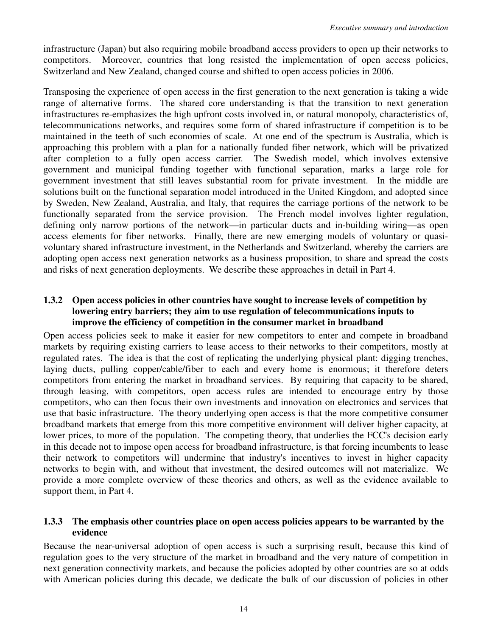infrastructure (Japan) but also requiring mobile broadband access providers to open up their networks to competitors. Moreover, countries that long resisted the implementation of open access policies, Switzerland and New Zealand, changed course and shifted to open access policies in 2006.

Transposing the experience of open access in the first generation to the next generation is taking a wide range of alternative forms. The shared core understanding is that the transition to next generation infrastructures re-emphasizes the high upfront costs involved in, or natural monopoly, characteristics of, telecommunications networks, and requires some form of shared infrastructure if competition is to be maintained in the teeth of such economies of scale. At one end of the spectrum is Australia, which is approaching this problem with a plan for a nationally funded fiber network, which will be privatized after completion to a fully open access carrier. The Swedish model, which involves extensive government and municipal funding together with functional separation, marks a large role for government investment that still leaves substantial room for private investment. In the middle are solutions built on the functional separation model introduced in the United Kingdom, and adopted since by Sweden, New Zealand, Australia, and Italy, that requires the carriage portions of the network to be functionally separated from the service provision. The French model involves lighter regulation, defining only narrow portions of the network—in particular ducts and in-building wiring—as open access elements for fiber networks. Finally, there are new emerging models of voluntary or quasivoluntary shared infrastructure investment, in the Netherlands and Switzerland, whereby the carriers are adopting open access next generation networks as a business proposition, to share and spread the costs and risks of next generation deployments. We describe these approaches in detail in Part 4.

#### **1.3.2 Open access policies in other countries have sought to increase levels of competition by lowering entry barriers; they aim to use regulation of telecommunications inputs to improve the efficiency of competition in the consumer market in broadband**

Open access policies seek to make it easier for new competitors to enter and compete in broadband markets by requiring existing carriers to lease access to their networks to their competitors, mostly at regulated rates. The idea is that the cost of replicating the underlying physical plant: digging trenches, laying ducts, pulling copper/cable/fiber to each and every home is enormous; it therefore deters competitors from entering the market in broadband services. By requiring that capacity to be shared, through leasing, with competitors, open access rules are intended to encourage entry by those competitors, who can then focus their own investments and innovation on electronics and services that use that basic infrastructure. The theory underlying open access is that the more competitive consumer broadband markets that emerge from this more competitive environment will deliver higher capacity, at lower prices, to more of the population. The competing theory, that underlies the FCC's decision early in this decade not to impose open access for broadband infrastructure, is that forcing incumbents to lease their network to competitors will undermine that industry's incentives to invest in higher capacity networks to begin with, and without that investment, the desired outcomes will not materialize. We provide a more complete overview of these theories and others, as well as the evidence available to support them, in Part 4.

#### **1.3.3 The emphasis other countries place on open access policies appears to be warranted by the evidence**

Because the near-universal adoption of open access is such a surprising result, because this kind of regulation goes to the very structure of the market in broadband and the very nature of competition in next generation connectivity markets, and because the policies adopted by other countries are so at odds with American policies during this decade, we dedicate the bulk of our discussion of policies in other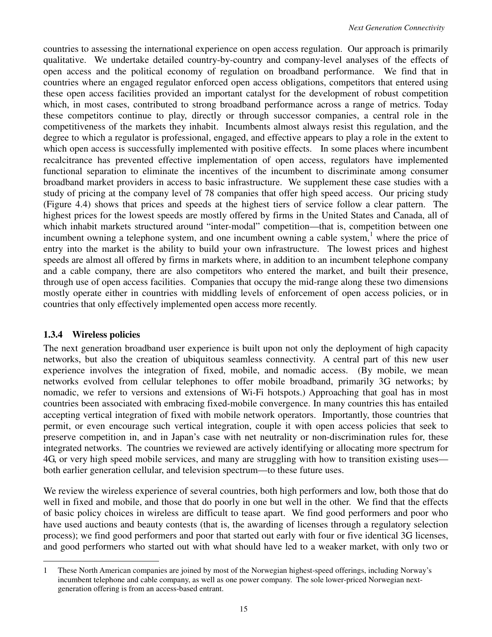countries to assessing the international experience on open access regulation. Our approach is primarily qualitative. We undertake detailed country-by-country and company-level analyses of the effects of open access and the political economy of regulation on broadband performance. We find that in countries where an engaged regulator enforced open access obligations, competitors that entered using these open access facilities provided an important catalyst for the development of robust competition which, in most cases, contributed to strong broadband performance across a range of metrics. Today these competitors continue to play, directly or through successor companies, a central role in the competitiveness of the markets they inhabit. Incumbents almost always resist this regulation, and the degree to which a regulator is professional, engaged, and effective appears to play a role in the extent to which open access is successfully implemented with positive effects. In some places where incumbent recalcitrance has prevented effective implementation of open access, regulators have implemented functional separation to eliminate the incentives of the incumbent to discriminate among consumer broadband market providers in access to basic infrastructure. We supplement these case studies with a study of pricing at the company level of 78 companies that offer high speed access. Our pricing study (Figure 4.4) shows that prices and speeds at the highest tiers of service follow a clear pattern. The highest prices for the lowest speeds are mostly offered by firms in the United States and Canada, all of which inhabit markets structured around "inter-modal" competition—that is, competition between one incumbent owning a telephone system, and one incumbent owning a cable system, $<sup>1</sup>$  where the price of</sup> entry into the market is the ability to build your own infrastructure. The lowest prices and highest speeds are almost all offered by firms in markets where, in addition to an incumbent telephone company and a cable company, there are also competitors who entered the market, and built their presence, through use of open access facilities. Companies that occupy the mid-range along these two dimensions mostly operate either in countries with middling levels of enforcement of open access policies, or in countries that only effectively implemented open access more recently.

#### **1.3.4 Wireless policies**

The next generation broadband user experience is built upon not only the deployment of high capacity networks, but also the creation of ubiquitous seamless connectivity. A central part of this new user experience involves the integration of fixed, mobile, and nomadic access. (By mobile, we mean networks evolved from cellular telephones to offer mobile broadband, primarily 3G networks; by nomadic, we refer to versions and extensions of Wi-Fi hotspots.) Approaching that goal has in most countries been associated with embracing fixed-mobile convergence. In many countries this has entailed accepting vertical integration of fixed with mobile network operators. Importantly, those countries that permit, or even encourage such vertical integration, couple it with open access policies that seek to preserve competition in, and in Japan's case with net neutrality or non-discrimination rules for, these integrated networks. The countries we reviewed are actively identifying or allocating more spectrum for 4G, or very high speed mobile services, and many are struggling with how to transition existing uses both earlier generation cellular, and television spectrum—to these future uses.

We review the wireless experience of several countries, both high performers and low, both those that do well in fixed and mobile, and those that do poorly in one but well in the other. We find that the effects of basic policy choices in wireless are difficult to tease apart. We find good performers and poor who have used auctions and beauty contests (that is, the awarding of licenses through a regulatory selection process); we find good performers and poor that started out early with four or five identical 3G licenses, and good performers who started out with what should have led to a weaker market, with only two or

 $\overline{a}$ 1 These North American companies are joined by most of the Norwegian highest-speed offerings, including Norway's incumbent telephone and cable company, as well as one power company. The sole lower-priced Norwegian nextgeneration offering is from an access-based entrant.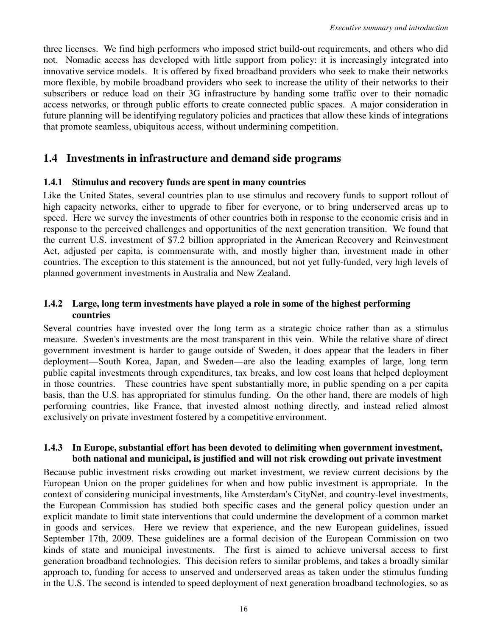three licenses. We find high performers who imposed strict build-out requirements, and others who did not. Nomadic access has developed with little support from policy: it is increasingly integrated into innovative service models. It is offered by fixed broadband providers who seek to make their networks more flexible, by mobile broadband providers who seek to increase the utility of their networks to their subscribers or reduce load on their 3G infrastructure by handing some traffic over to their nomadic access networks, or through public efforts to create connected public spaces. A major consideration in future planning will be identifying regulatory policies and practices that allow these kinds of integrations that promote seamless, ubiquitous access, without undermining competition.

### **1.4 Investments in infrastructure and demand side programs**

#### **1.4.1 Stimulus and recovery funds are spent in many countries**

Like the United States, several countries plan to use stimulus and recovery funds to support rollout of high capacity networks, either to upgrade to fiber for everyone, or to bring underserved areas up to speed. Here we survey the investments of other countries both in response to the economic crisis and in response to the perceived challenges and opportunities of the next generation transition. We found that the current U.S. investment of \$7.2 billion appropriated in the American Recovery and Reinvestment Act, adjusted per capita, is commensurate with, and mostly higher than, investment made in other countries. The exception to this statement is the announced, but not yet fully-funded, very high levels of planned government investments in Australia and New Zealand.

#### **1.4.2 Large, long term investments have played a role in some of the highest performing countries**

Several countries have invested over the long term as a strategic choice rather than as a stimulus measure. Sweden's investments are the most transparent in this vein. While the relative share of direct government investment is harder to gauge outside of Sweden, it does appear that the leaders in fiber deployment—South Korea, Japan, and Sweden—are also the leading examples of large, long term public capital investments through expenditures, tax breaks, and low cost loans that helped deployment in those countries. These countries have spent substantially more, in public spending on a per capita basis, than the U.S. has appropriated for stimulus funding. On the other hand, there are models of high performing countries, like France, that invested almost nothing directly, and instead relied almost exclusively on private investment fostered by a competitive environment.

#### **1.4.3 In Europe, substantial effort has been devoted to delimiting when government investment, both national and municipal, is justified and will not risk crowding out private investment**

Because public investment risks crowding out market investment, we review current decisions by the European Union on the proper guidelines for when and how public investment is appropriate. In the context of considering municipal investments, like Amsterdam's CityNet, and country-level investments, the European Commission has studied both specific cases and the general policy question under an explicit mandate to limit state interventions that could undermine the development of a common market in goods and services. Here we review that experience, and the new European guidelines, issued September 17th, 2009. These guidelines are a formal decision of the European Commission on two kinds of state and municipal investments. The first is aimed to achieve universal access to first generation broadband technologies. This decision refers to similar problems, and takes a broadly similar approach to, funding for access to unserved and underserved areas as taken under the stimulus funding in the U.S. The second is intended to speed deployment of next generation broadband technologies, so as